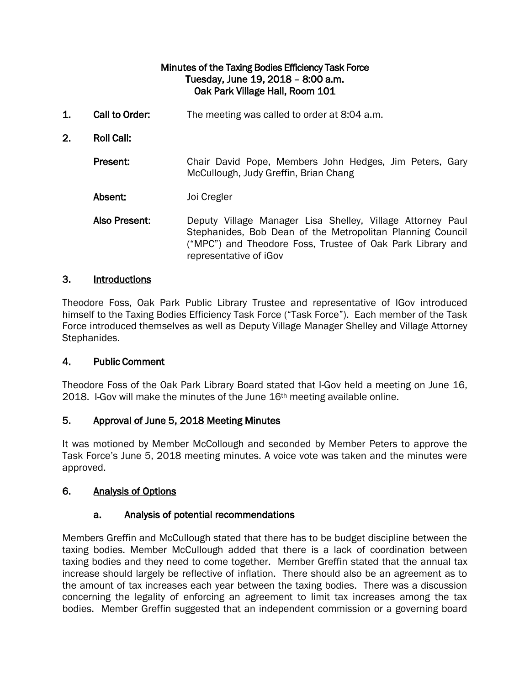## Minutes of the Taxing Bodies Efficiency Task Force Tuesday, June 19, 2018 – 8:00 a.m. Oak Park Village Hall, Room 101

- 1. Call to Order: The meeting was called to order at 8:04 a.m.
- 2. Roll Call:

Present: Chair David Pope, Members John Hedges, Jim Peters, Gary McCullough, Judy Greffin, Brian Chang

Absent: Joi Cregler

Also Present: Deputy Village Manager Lisa Shelley, Village Attorney Paul Stephanides, Bob Dean of the Metropolitan Planning Council ("MPC") and Theodore Foss, Trustee of Oak Park Library and representative of iGov

### 3. Introductions

Theodore Foss, Oak Park Public Library Trustee and representative of IGov introduced himself to the Taxing Bodies Efficiency Task Force ("Task Force"). Each member of the Task Force introduced themselves as well as Deputy Village Manager Shelley and Village Attorney Stephanides.

## 4. Public Comment

Theodore Foss of the Oak Park Library Board stated that I-Gov held a meeting on June 16, 2018. I-Gov will make the minutes of the June 16<sup>th</sup> meeting available online.

### 5. Approval of June 5, 2018 Meeting Minutes

It was motioned by Member McCollough and seconded by Member Peters to approve the Task Force's June 5, 2018 meeting minutes. A voice vote was taken and the minutes were approved.

## 6. Analysis of Options

### a. Analysis of potential recommendations

Members Greffin and McCullough stated that there has to be budget discipline between the taxing bodies. Member McCullough added that there is a lack of coordination between taxing bodies and they need to come together. Member Greffin stated that the annual tax increase should largely be reflective of inflation. There should also be an agreement as to the amount of tax increases each year between the taxing bodies. There was a discussion concerning the legality of enforcing an agreement to limit tax increases among the tax bodies. Member Greffin suggested that an independent commission or a governing board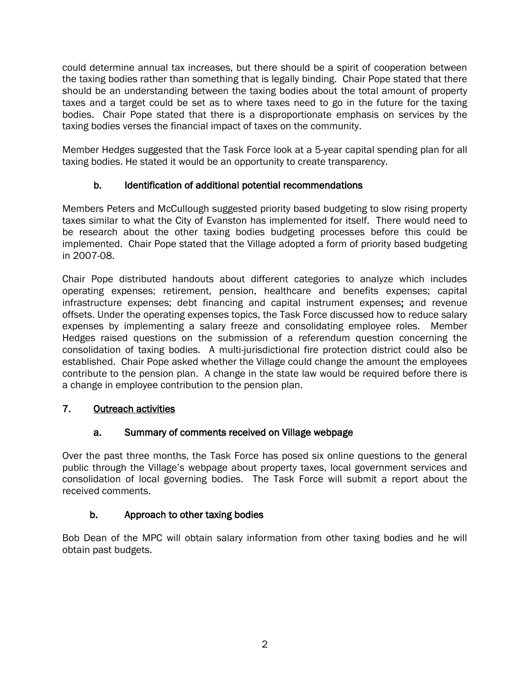could determine annual tax increases, but there should be a spirit of cooperation between the taxing bodies rather than something that is legally binding. Chair Pope stated that there should be an understanding between the taxing bodies about the total amount of property taxes and a target could be set as to where taxes need to go in the future for the taxing bodies. Chair Pope stated that there is a disproportionate emphasis on services by the taxing bodies verses the financial impact of taxes on the community.

Member Hedges suggested that the Task Force look at a 5-year capital spending plan for all taxing bodies. He stated it would be an opportunity to create transparency.

# b. Identification of additional potential recommendations

Members Peters and McCullough suggested priority based budgeting to slow rising property taxes similar to what the City of Evanston has implemented for itself. There would need to be research about the other taxing bodies budgeting processes before this could be implemented. Chair Pope stated that the Village adopted a form of priority based budgeting in 2007-08.

Chair Pope distributed handouts about different categories to analyze which includes operating expenses; retirement, pension, healthcare and benefits expenses; capital infrastructure expenses; debt financing and capital instrument expenses; and revenue offsets. Under the operating expenses topics, the Task Force discussed how to reduce salary expenses by implementing a salary freeze and consolidating employee roles. Member Hedges raised questions on the submission of a referendum question concerning the consolidation of taxing bodies. A multi-jurisdictional fire protection district could also be established. Chair Pope asked whether the Village could change the amount the employees contribute to the pension plan. A change in the state law would be required before there is a change in employee contribution to the pension plan.

# 7. Outreach activities

# a. Summary of comments received on Village webpage

Over the past three months, the Task Force has posed six online questions to the general public through the Village's webpage about property taxes, local government services and consolidation of local governing bodies. The Task Force will submit a report about the received comments.

# b. Approach to other taxing bodies

Bob Dean of the MPC will obtain salary information from other taxing bodies and he will obtain past budgets.